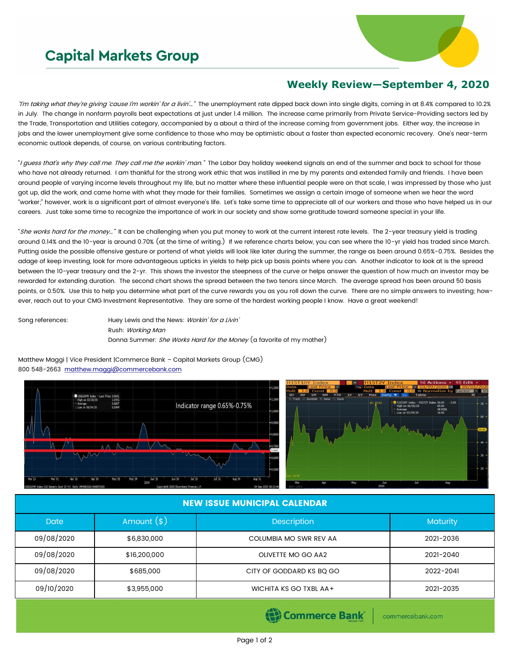## **Capital Markets Group**



## **Weekly Review—September 4, 2020**

"I'm taking what they're giving 'cause I'm workin' for a livin'.." The unemployment rate dipped back down into single digits, coming in at 8.4% compared to 10.2% in July. The change in nonfarm payrolls beat expectations at just under 1.4 million. The increase came primarily from Private Service-Providing sectors led by the Trade, Transportation and Utilities category, accompanied by a about a third of the increase coming from government jobs. Either way, the increase in jobs and the lower unemployment give some confidence to those who may be optimistic about a faster than expected economic recovery. One's near-term economic outlook depends, of course, on various contributing factors.

"I guess that's why they call me. They call me the workin' man." The Labor Day holiday weekend signals an end of the summer and back to school for those who have not already returned. I am thankful for the strong work ethic that was instilled in me by my parents and extended family and friends. I have been around people of varying income levels throughout my life, but no matter where these influential people were on that scale, I was impressed by those who just got up, did the work, and came home with what they made for their families. Sometimes we assign a certain image of someone when we hear the word "worker;" however, work is a significant part of almost everyone's life. Let's take some time to appreciate all of our workers and those who have helped us in our careers. Just take some time to recognize the importance of work in our society and show some gratitude toward someone special in your life.

"She works hard for the money..." It can be challenging when you put money to work at the current interest rate levels. The 2-year treasury yield is trading around 0.14% and the 10-year is around 0.70% (at the time of writing.) If we reference charts below, you can see where the 10-yr yield has traded since March. Putting aside the possible offensive gesture or portend of what yields will look like later during the summer, the range as been around 0.65%-0.75%. Besides the adage of keep investing, look for more advantageous upticks in yields to help pick up basis points where you can. Another indicator to look at is the spread between the 10-year treasury and the 2-yr. This shows the investor the steepness of the curve or helps answer the question of how much an investor may be rewarded for extending duration. The second chart shows the spread between the two tenors since March. The average spread has been around 50 basis points, or 0.50%. Use this to help you determine what part of the curve rewards you as you roll down the curve. There are no simple answers to investing; however, reach out to your CMG Investment Representative. They are some of the hardest working people I know. Have a great weekend!

Song references: Huey Lewis and the News: Workin' for a Livin' Rush: Working Man Donna Summer: She Works Hard for the Money (a favorite of my mother)

Matthew Maggi | Vice President |Commerce Bank – Capital Markets Group (CMG) 800 548-2663 [matthew.maggi@commercebank.com](mailto:matthew.maggi@commercebank.com)





## NEW ISSUE MUNICIPAL CALENDAR

| <b>Date</b> | Amount $(*)$ | <b>Description</b>       | <b>Maturity</b> |  |
|-------------|--------------|--------------------------|-----------------|--|
| 09/08/2020  | \$6,830,000  | COLUMBIA MO SWR REV AA   | 2021-2036       |  |
| 09/08/2020  | \$16,200,000 | OLIVETTE MO GO AA2       | 2021-2040       |  |
| 09/08/2020  | \$685,000    | CITY OF GODDARD KS BQ GO | 2022-2041       |  |
| 09/10/2020  | \$3,955,000  | WICHITA KS GO TXBL AA+   | 2021-2035       |  |

Commerce Bank

commercebank.com